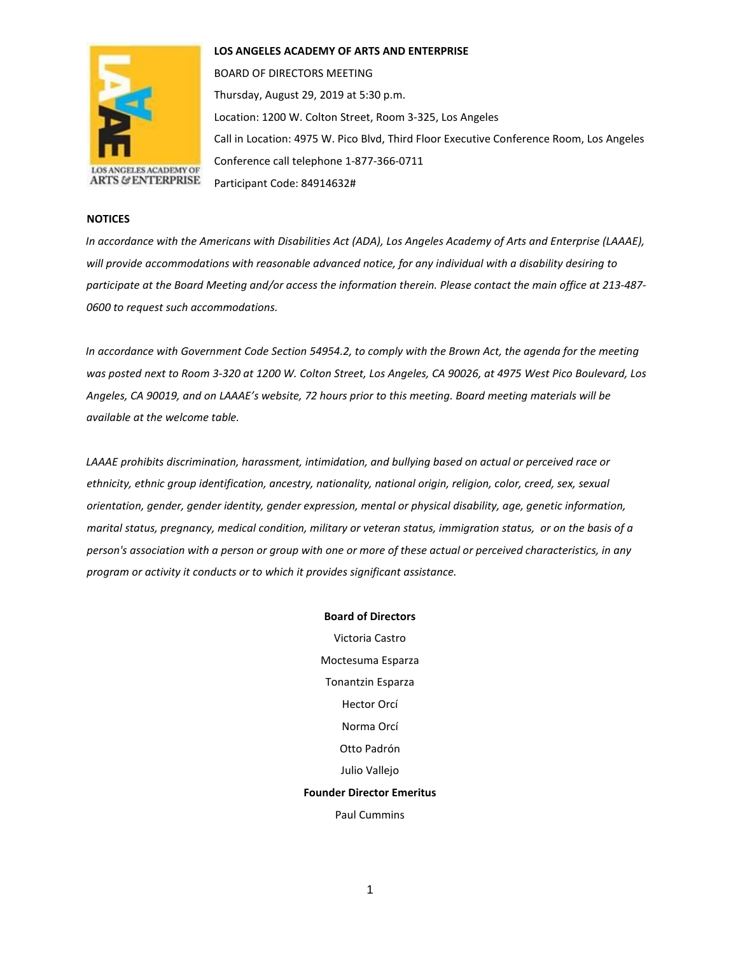

**LOS ANGELES ACADEMY OF ARTS AND ENTERPRISE** 

BOARD OF DIRECTORS MEETING Thursday, August 29, 2019 at 5:30 p.m. Location: 1200 W. Colton Street, Room 3-325, Los Angeles Call in Location: 4975 W. Pico Blvd, Third Floor Executive Conference Room, Los Angeles Conference call telephone 1-877-366-0711 Participant Code: 84914632#

## **NOTICES**

*In accordance with the Americans with Disabilities Act (ADA), Los Angeles Academy of Arts and Enterprise (LAAAE), will provide accommodations with reasonable advanced notice, for any individual with a disability desiring to participate at the Board Meeting and/or access the information therein. Please contact the main office at 213-487- 0600 to request such accommodations.* 

*In accordance with Government Code Section 54954.2, to comply with the Brown Act, the agenda for the meeting was posted next to Room 3-320 at 1200 W. Colton Street, Los Angeles, CA 90026, at 4975 West Pico Boulevard, Los Angeles, CA 90019, and on LAAAE's website, 72 hours prior to this meeting. Board meeting materials will be available at the welcome table.* 

*LAAAE prohibits discrimination, harassment, intimidation, and bullying based on actual or perceived race or ethnicity, ethnic group identification, ancestry, nationality, national origin, religion, color, creed, sex, sexual orientation, gender, gender identity, gender expression, mental or physical disability, age, genetic information, marital status, pregnancy, medical condition, military or veteran status, immigration status, or on the basis of a person's association with a person or group with one or more of these actual or perceived characteristics, in any program or activity it conducts or to which it provides significant assistance.* 

> **Board of Directors** Victoria Castro Moctesuma Esparza Tonantzin Esparza Hector Orcí Norma Orcí Otto Padrón Julio Vallejo **Founder Director Emeritus** Paul Cummins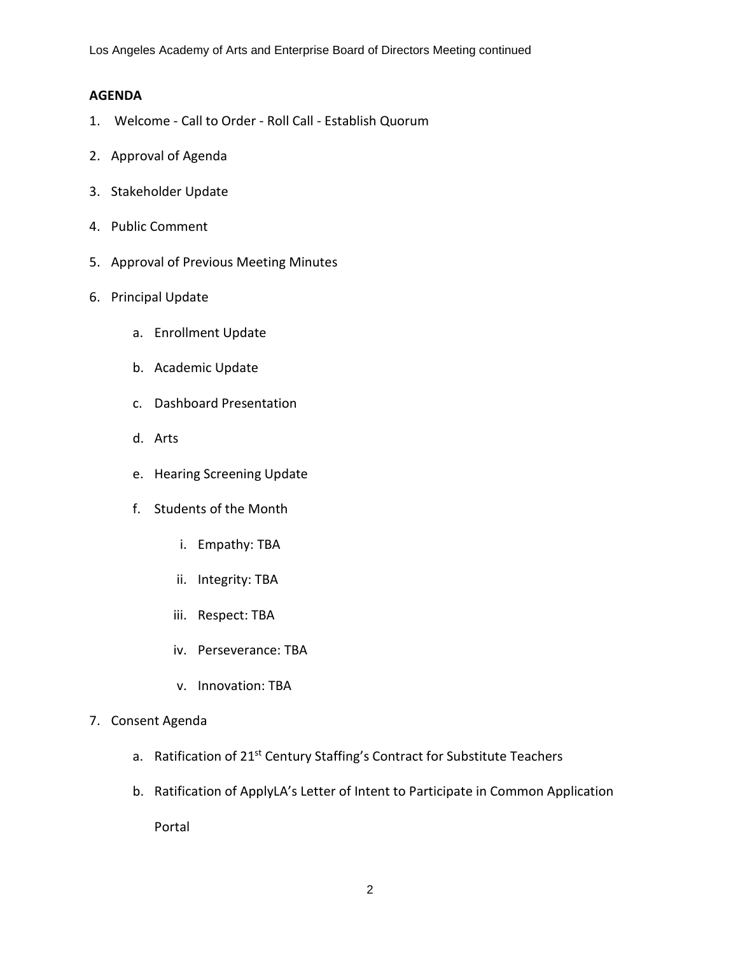Los Angeles Academy of Arts and Enterprise Board of Directors Meeting continued

## **AGENDA**

- 1. Welcome Call to Order Roll Call Establish Quorum
- 2. Approval of Agenda
- 3. Stakeholder Update
- 4. Public Comment
- 5. Approval of Previous Meeting Minutes
- 6. Principal Update
	- a. Enrollment Update
	- b. Academic Update
	- c. Dashboard Presentation
	- d. Arts
	- e. Hearing Screening Update
	- f. Students of the Month
		- i. Empathy: TBA
		- ii. Integrity: TBA
		- iii. Respect: TBA
		- iv. Perseverance: TBA
		- v. Innovation: TBA
- 7. Consent Agenda
	- a. Ratification of 21<sup>st</sup> Century Staffing's Contract for Substitute Teachers
	- b. Ratification of ApplyLA's Letter of Intent to Participate in Common Application

Portal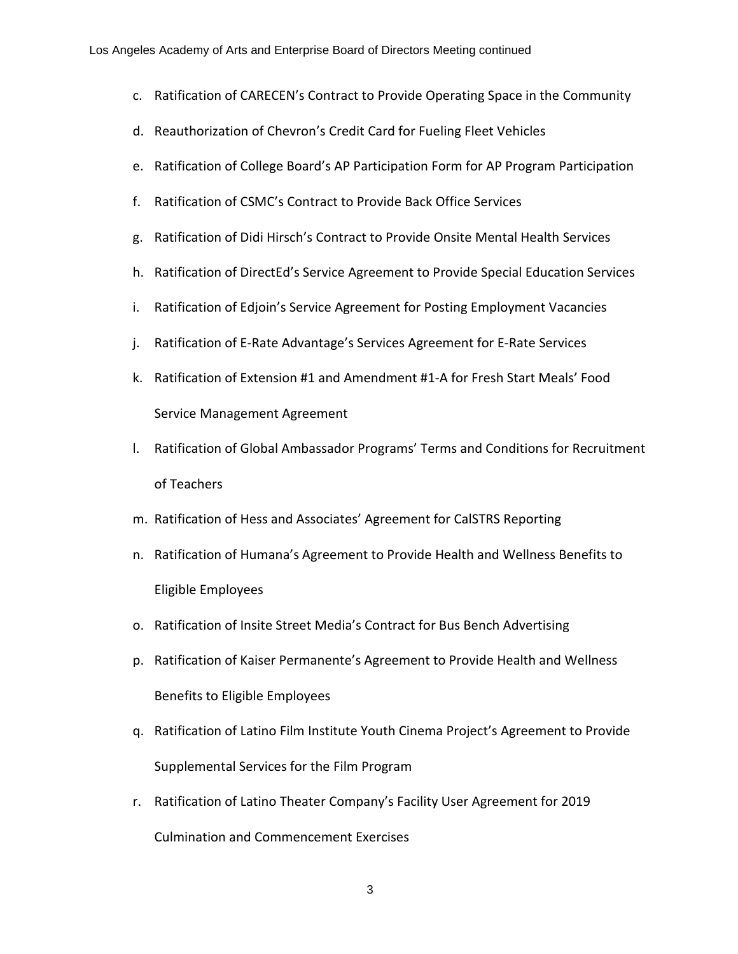- c. Ratification of CARECEN's Contract to Provide Operating Space in the Community
- d. Reauthorization of Chevron's Credit Card for Fueling Fleet Vehicles
- e. Ratification of College Board's AP Participation Form for AP Program Participation
- f. Ratification of CSMC's Contract to Provide Back Office Services
- g. Ratification of Didi Hirsch's Contract to Provide Onsite Mental Health Services
- h. Ratification of DirectEd's Service Agreement to Provide Special Education Services
- i. Ratification of Edjoin's Service Agreement for Posting Employment Vacancies
- j. Ratification of E-Rate Advantage's Services Agreement for E-Rate Services
- k. Ratification of Extension #1 and Amendment #1-A for Fresh Start Meals' Food Service Management Agreement
- l. Ratification of Global Ambassador Programs' Terms and Conditions for Recruitment of Teachers
- m. Ratification of Hess and Associates' Agreement for CalSTRS Reporting
- n. Ratification of Humana's Agreement to Provide Health and Wellness Benefits to Eligible Employees
- o. Ratification of Insite Street Media's Contract for Bus Bench Advertising
- p. Ratification of Kaiser Permanente's Agreement to Provide Health and Wellness Benefits to Eligible Employees
- q. Ratification of Latino Film Institute Youth Cinema Project's Agreement to Provide Supplemental Services for the Film Program
- r. Ratification of Latino Theater Company's Facility User Agreement for 2019 Culmination and Commencement Exercises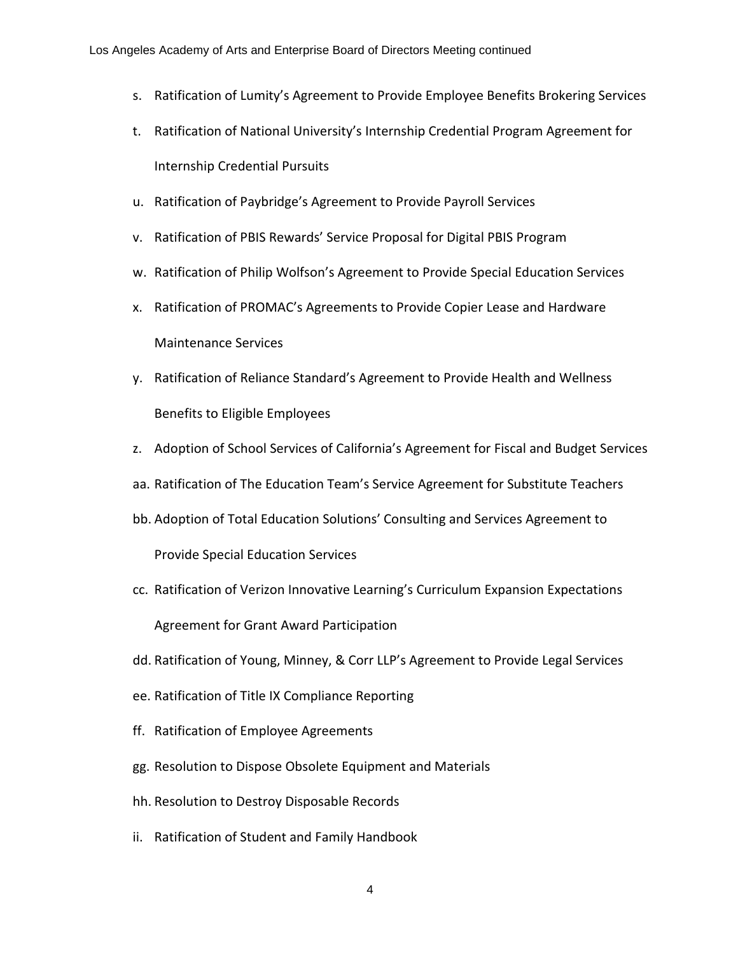- s. Ratification of Lumity's Agreement to Provide Employee Benefits Brokering Services
- t. Ratification of National University's Internship Credential Program Agreement for Internship Credential Pursuits
- u. Ratification of Paybridge's Agreement to Provide Payroll Services
- v. Ratification of PBIS Rewards' Service Proposal for Digital PBIS Program
- w. Ratification of Philip Wolfson's Agreement to Provide Special Education Services
- x. Ratification of PROMAC's Agreements to Provide Copier Lease and Hardware Maintenance Services
- y. Ratification of Reliance Standard's Agreement to Provide Health and Wellness Benefits to Eligible Employees
- z. Adoption of School Services of California's Agreement for Fiscal and Budget Services
- aa. Ratification of The Education Team's Service Agreement for Substitute Teachers
- bb. Adoption of Total Education Solutions' Consulting and Services Agreement to Provide Special Education Services
- cc. Ratification of Verizon Innovative Learning's Curriculum Expansion Expectations Agreement for Grant Award Participation
- dd. Ratification of Young, Minney, & Corr LLP's Agreement to Provide Legal Services
- ee. Ratification of Title IX Compliance Reporting
- ff. Ratification of Employee Agreements
- gg. Resolution to Dispose Obsolete Equipment and Materials
- hh. Resolution to Destroy Disposable Records
- ii. Ratification of Student and Family Handbook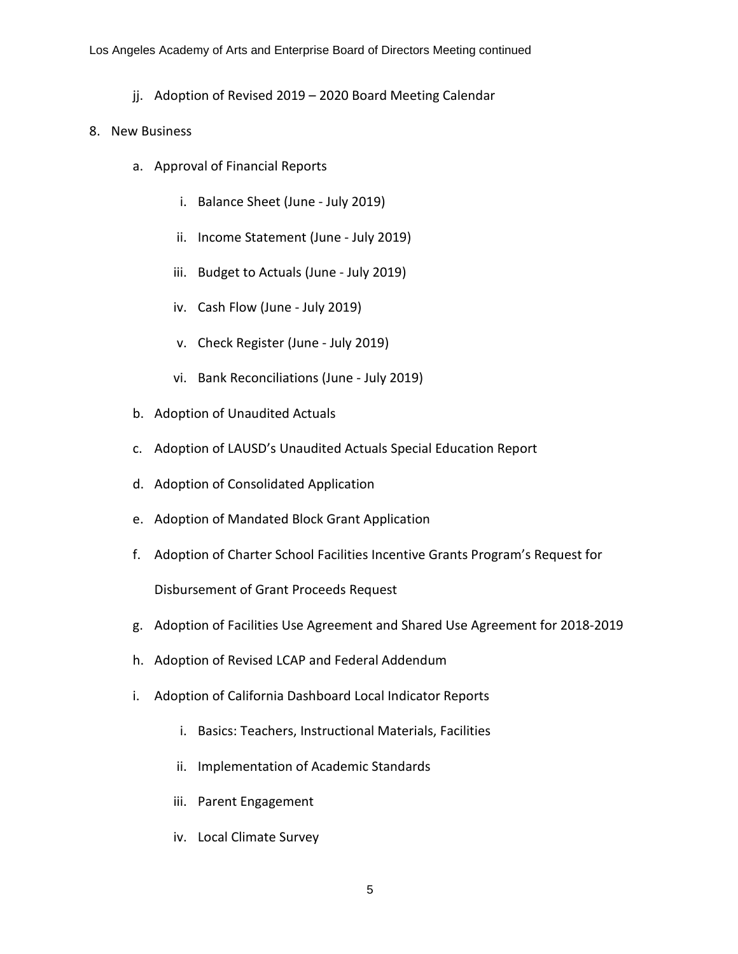jj. Adoption of Revised 2019 – 2020 Board Meeting Calendar

## 8. New Business

- a. Approval of Financial Reports
	- i. Balance Sheet (June July 2019)
	- ii. Income Statement (June July 2019)
	- iii. Budget to Actuals (June July 2019)
	- iv. Cash Flow (June July 2019)
	- v. Check Register (June July 2019)
	- vi. Bank Reconciliations (June July 2019)
- b. Adoption of Unaudited Actuals
- c. Adoption of LAUSD's Unaudited Actuals Special Education Report
- d. Adoption of Consolidated Application
- e. Adoption of Mandated Block Grant Application
- f. Adoption of Charter School Facilities Incentive Grants Program's Request for Disbursement of Grant Proceeds Request

- g. Adoption of Facilities Use Agreement and Shared Use Agreement for 2018-2019
- h. Adoption of Revised LCAP and Federal Addendum
- i. Adoption of California Dashboard Local Indicator Reports
	- i. Basics: Teachers, Instructional Materials, Facilities
	- ii. Implementation of Academic Standards
	- iii. Parent Engagement
	- iv. Local Climate Survey